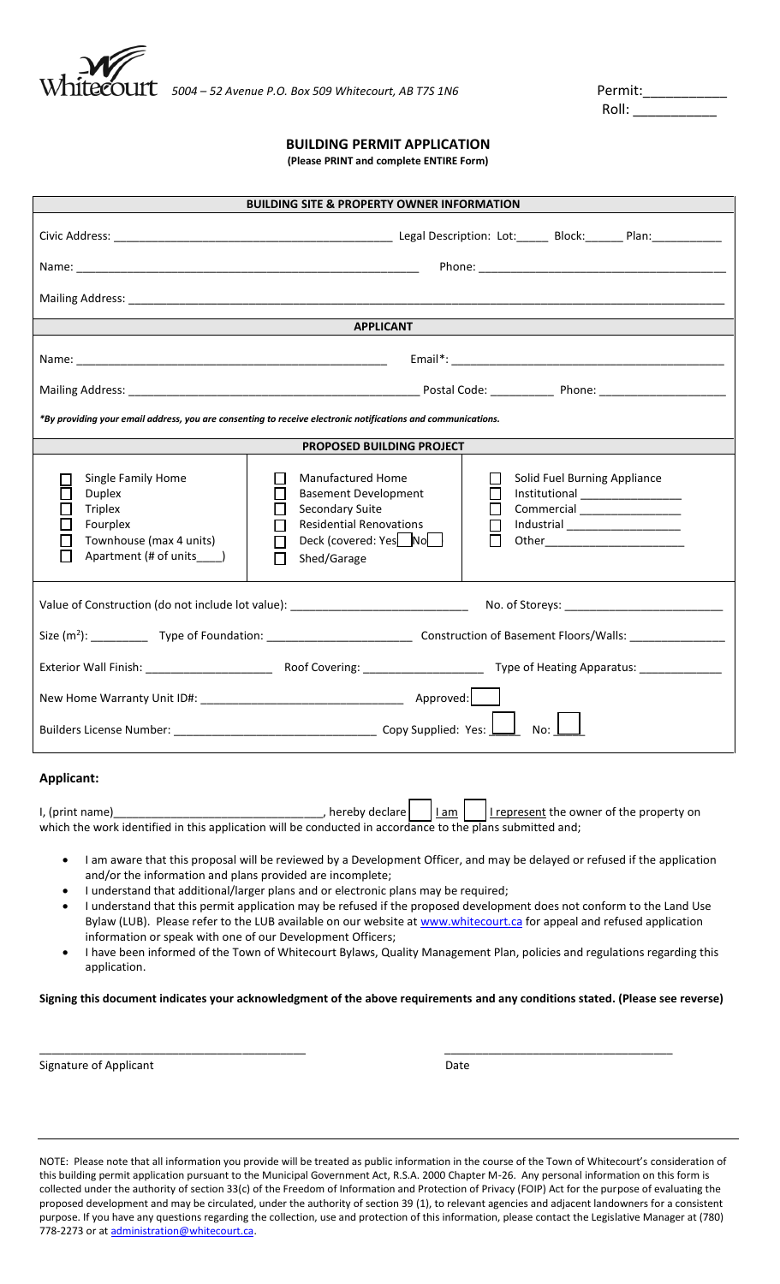

Roll:  $\Box$ 

## **BUILDING PERMIT APPLICATION**

**(Please PRINT and complete ENTIRE Form)**

| <b>BUILDING SITE &amp; PROPERTY OWNER INFORMATION</b>                                                                        |                                                                                                                                                                                                                                                                                            |  |  |  |  |  |  |  |  |
|------------------------------------------------------------------------------------------------------------------------------|--------------------------------------------------------------------------------------------------------------------------------------------------------------------------------------------------------------------------------------------------------------------------------------------|--|--|--|--|--|--|--|--|
|                                                                                                                              |                                                                                                                                                                                                                                                                                            |  |  |  |  |  |  |  |  |
|                                                                                                                              |                                                                                                                                                                                                                                                                                            |  |  |  |  |  |  |  |  |
|                                                                                                                              |                                                                                                                                                                                                                                                                                            |  |  |  |  |  |  |  |  |
|                                                                                                                              | <b>APPLICANT</b>                                                                                                                                                                                                                                                                           |  |  |  |  |  |  |  |  |
|                                                                                                                              |                                                                                                                                                                                                                                                                                            |  |  |  |  |  |  |  |  |
|                                                                                                                              |                                                                                                                                                                                                                                                                                            |  |  |  |  |  |  |  |  |
| *By providing your email address, you are consenting to receive electronic notifications and communications.                 |                                                                                                                                                                                                                                                                                            |  |  |  |  |  |  |  |  |
|                                                                                                                              | PROPOSED BUILDING PROJECT                                                                                                                                                                                                                                                                  |  |  |  |  |  |  |  |  |
| Single Family Home<br><b>Duplex</b><br><b>Triplex</b><br>Fourplex<br>Townhouse (max 4 units)<br>Apartment (# of units _____) | <b>Manufactured Home</b><br>Solid Fuel Burning Appliance<br><b>Basement Development</b><br>Institutional __________________<br>Secondary Suite<br>Commercial _________________<br><b>Residential Renovations</b><br>Industrial ___________________<br>Deck (covered: Yes No<br>Shed/Garage |  |  |  |  |  |  |  |  |
|                                                                                                                              |                                                                                                                                                                                                                                                                                            |  |  |  |  |  |  |  |  |
|                                                                                                                              |                                                                                                                                                                                                                                                                                            |  |  |  |  |  |  |  |  |
|                                                                                                                              |                                                                                                                                                                                                                                                                                            |  |  |  |  |  |  |  |  |
|                                                                                                                              |                                                                                                                                                                                                                                                                                            |  |  |  |  |  |  |  |  |
| No:                                                                                                                          |                                                                                                                                                                                                                                                                                            |  |  |  |  |  |  |  |  |

## **Applicant:**

| I, (print name)                                                                                           |  |  |  | , hereby declare $\vert$ $\vert$ $\vert$ $\vert$ $\frac{1 \text{ am}}{2}$ $\vert$ $\vert$ $\vert$ represent the owner of the property on |  |  |  |
|-----------------------------------------------------------------------------------------------------------|--|--|--|------------------------------------------------------------------------------------------------------------------------------------------|--|--|--|
| which the work identified in this application will be conducted in accordance to the plans submitted and; |  |  |  |                                                                                                                                          |  |  |  |

- I am aware that this proposal will be reviewed by a Development Officer, and may be delayed or refused if the application and/or the information and plans provided are incomplete;
- I understand that additional/larger plans and or electronic plans may be required;
- I understand that this permit application may be refused if the proposed development does not conform to the Land Use Bylaw (LUB). Please refer to the LUB available on our website at [www.whitecourt.ca](http://www.whitecourt.ca/) for appeal and refused application information or speak with one of our Development Officers;
- I have been informed of the Town of Whitecourt Bylaws, Quality Management Plan, policies and regulations regarding this application.

**Signing this document indicates your acknowledgment of the above requirements and any conditions stated. (Please see reverse)**

\_\_\_\_\_\_\_\_\_\_\_\_\_\_\_\_\_\_\_\_\_\_\_\_\_\_\_\_\_\_\_\_\_\_\_\_\_\_\_\_\_\_ \_\_\_\_\_\_\_\_\_\_\_\_\_\_\_\_\_\_\_\_\_\_\_\_\_\_\_\_\_\_\_\_\_\_\_\_

Signature of Applicant **Date** 

NOTE: Please note that all information you provide will be treated as public information in the course of the Town of Whitecourt's consideration of this building permit application pursuant to the Municipal Government Act, R.S.A. 2000 Chapter M-26. Any personal information on this form is collected under the authority of section 33(c) of the Freedom of Information and Protection of Privacy (FOIP) Act for the purpose of evaluating the proposed development and may be circulated, under the authority of section 39 (1), to relevant agencies and adjacent landowners for a consistent purpose. If you have any questions regarding the collection, use and protection of this information, please contact the Legislative Manager at (780) 778-2273 or at [administration@whitecourt.ca.](mailto:administration@whitecourt.ca)